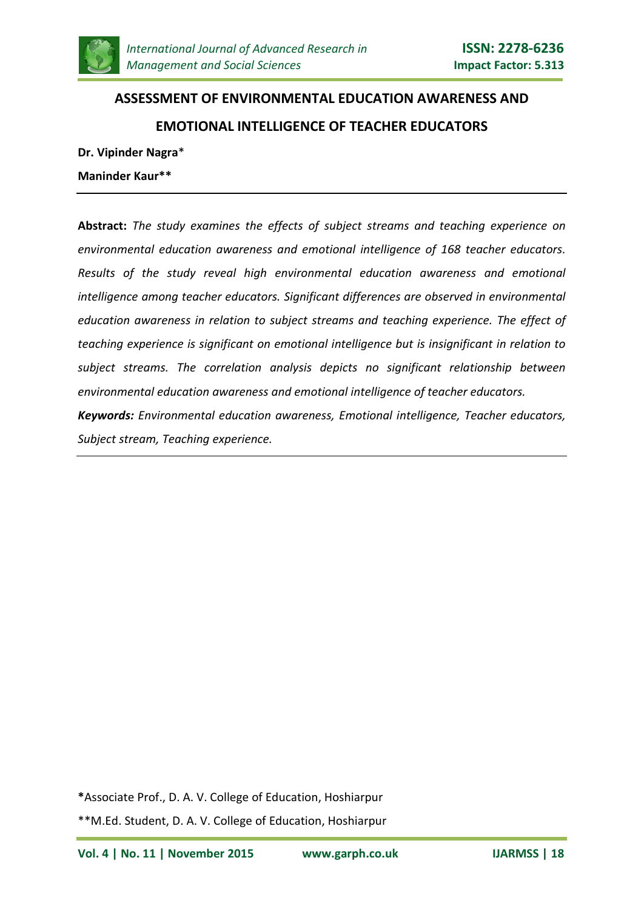

# **ASSESSMENT OF ENVIRONMENTAL EDUCATION AWARENESS AND EMOTIONAL INTELLIGENCE OF TEACHER EDUCATORS**

**Dr. Vipinder Nagra**\*

**Maninder Kaur\*\***

**Abstract:** *The study examines the effects of subject streams and teaching experience on environmental education awareness and emotional intelligence of 168 teacher educators. Results of the study reveal high environmental education awareness and emotional intelligence among teacher educators. Significant differences are observed in environmental education awareness in relation to subject streams and teaching experience. The effect of teaching experience is significant on emotional intelligence but is insignificant in relation to subject streams. The correlation analysis depicts no significant relationship between environmental education awareness and emotional intelligence of teacher educators. Keywords: Environmental education awareness, Emotional intelligence, Teacher educators,* 

*Subject stream, Teaching experience.*

**\***Associate Prof., D. A. V. College of Education, Hoshiarpur

\*\*M.Ed. Student, D. A. V. College of Education, Hoshiarpur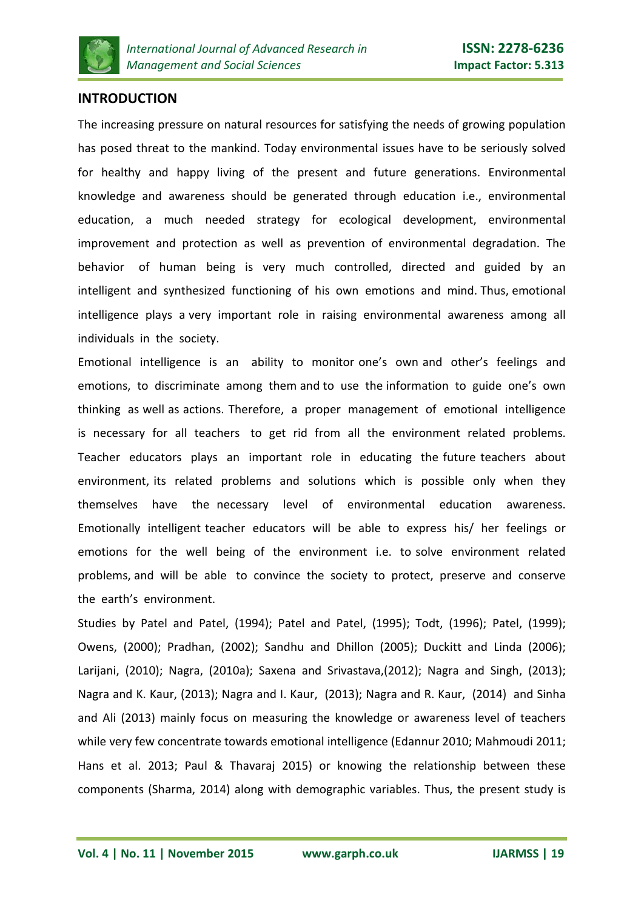

## **INTRODUCTION**

The increasing pressure on natural resources for satisfying the needs of growing population has posed threat to the mankind. Today environmental issues have to be seriously solved for healthy and happy living of the present and future generations. Environmental knowledge and awareness should be generated through education i.e., environmental education, a much needed strategy for ecological development, environmental improvement and protection as well as prevention of environmental degradation. The behavior of human being is very much controlled, directed and guided by an intelligent and synthesized functioning of his own emotions and mind. Thus, emotional intelligence plays a very important role in raising environmental awareness among all individuals in the society.

Emotional intelligence is an ability to monitor one's own and other's feelings and emotions, to discriminate among them and to use the information to guide one's own thinking as well as actions. Therefore, a proper management of emotional intelligence is necessary for all teachers to get rid from all the environment related problems. Teacher educators plays an important role in educating the future teachers about environment, its related problems and solutions which is possible only when they themselves have the necessary level of environmental education awareness. Emotionally intelligent teacher educators will be able to express his/ her feelings or emotions for the well being of the environment i.e. to solve environment related problems, and will be able to convince the society to protect, preserve and conserve the earth's environment.

Studies by Patel and Patel, (1994); Patel and Patel, (1995); Todt, (1996); Patel, (1999); Owens, (2000); Pradhan, (2002); Sandhu and Dhillon (2005); Duckitt and Linda (2006); Larijani, (2010); Nagra, (2010a); Saxena and Srivastava,(2012); Nagra and Singh, (2013); Nagra and K. Kaur, (2013); Nagra and I. Kaur, (2013); Nagra and R. Kaur, (2014) and Sinha and Ali (2013) mainly focus on measuring the knowledge or awareness level of teachers while very few concentrate towards emotional intelligence (Edannur 2010; Mahmoudi 2011; Hans et al. 2013; Paul & Thavaraj 2015) or knowing the relationship between these components (Sharma, 2014) along with demographic variables. Thus, the present study is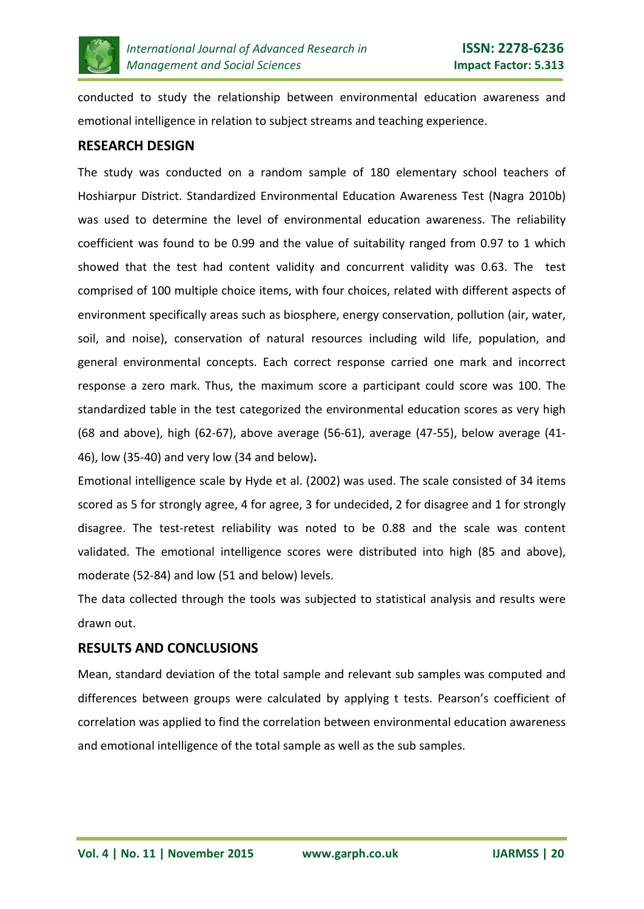

conducted to study the relationship between environmental education awareness and emotional intelligence in relation to subject streams and teaching experience.

#### **RESEARCH DESIGN**

The study was conducted on a random sample of 180 elementary school teachers of Hoshiarpur District. Standardized Environmental Education Awareness Test (Nagra 2010b) was used to determine the level of environmental education awareness. The reliability coefficient was found to be 0.99 and the value of suitability ranged from 0.97 to 1 which showed that the test had content validity and concurrent validity was 0.63. The test comprised of 100 multiple choice items, with four choices, related with different aspects of environment specifically areas such as biosphere, energy conservation, pollution (air, water, soil, and noise), conservation of natural resources including wild life, population, and general environmental concepts. Each correct response carried one mark and incorrect response a zero mark. Thus, the maximum score a participant could score was 100. The standardized table in the test categorized the environmental education scores as very high (68 and above), high (62-67), above average (56-61), average (47-55), below average (41- 46), low (35-40) and very low (34 and below)**.**

Emotional intelligence scale by Hyde et al. (2002) was used. The scale consisted of 34 items scored as 5 for strongly agree, 4 for agree, 3 for undecided, 2 for disagree and 1 for strongly disagree. The test-retest reliability was noted to be 0.88 and the scale was content validated. The emotional intelligence scores were distributed into high (85 and above), moderate (52-84) and low (51 and below) levels.

The data collected through the tools was subjected to statistical analysis and results were drawn out.

#### **RESULTS AND CONCLUSIONS**

Mean, standard deviation of the total sample and relevant sub samples was computed and differences between groups were calculated by applying t tests. Pearson's coefficient of correlation was applied to find the correlation between environmental education awareness and emotional intelligence of the total sample as well as the sub samples.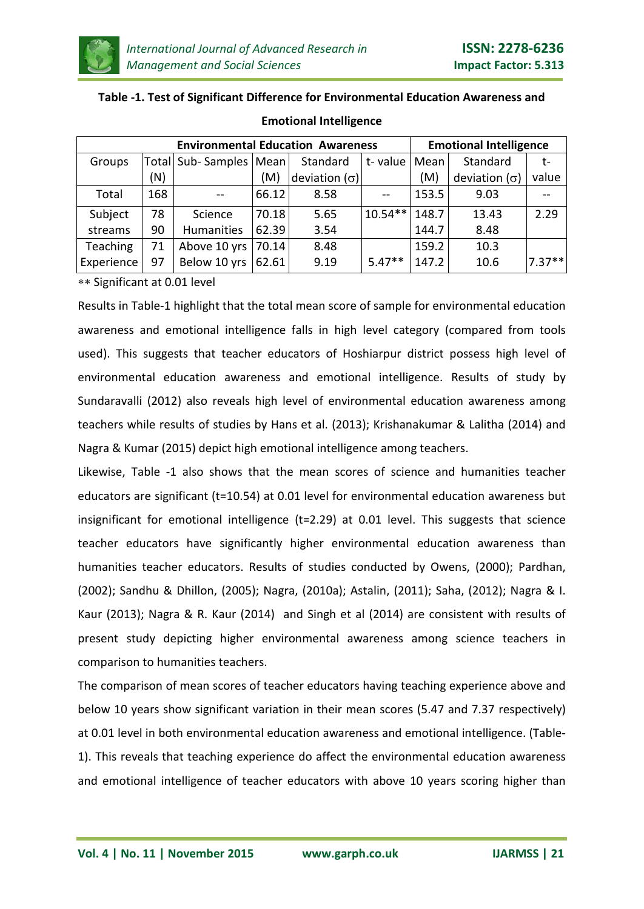

#### **Table -1. Test of Significant Difference for Environmental Education Awareness and**

| <b>Environmental Education Awareness</b> |     |                          |       |                      | <b>Emotional Intelligence</b> |       |                      |          |
|------------------------------------------|-----|--------------------------|-------|----------------------|-------------------------------|-------|----------------------|----------|
| Groups                                   |     | Total Sub-Samples   Mean |       | Standard             | t-value                       | Mean  | Standard             | $t-$     |
|                                          | (N) |                          | (M)   | deviation $(\sigma)$ |                               | (M)   | deviation $(\sigma)$ | value    |
| Total                                    | 168 |                          | 66.12 | 8.58                 |                               | 153.5 | 9.03                 |          |
| Subject                                  | 78  | Science                  | 70.18 | 5.65                 | $10.54**$                     | 148.7 | 13.43                | 2.29     |
| streams                                  | 90  | <b>Humanities</b>        | 62.39 | 3.54                 |                               | 144.7 | 8.48                 |          |
| Teaching                                 | 71  | Above 10 yrs             | 70.14 | 8.48                 |                               | 159.2 | 10.3                 |          |
| Experience                               | 97  | Below 10 yrs             | 62.61 | 9.19                 | $5.47**$                      | 147.2 | 10.6                 | $7.37**$ |

#### **Emotional Intelligence**

∗∗ Significant at 0.01 level

Results in Table-1 highlight that the total mean score of sample for environmental education awareness and emotional intelligence falls in high level category (compared from tools used). This suggests that teacher educators of Hoshiarpur district possess high level of environmental education awareness and emotional intelligence. Results of study by Sundaravalli (2012) also reveals high level of environmental education awareness among teachers while results of studies by Hans et al. (2013); Krishanakumar & Lalitha (2014) and Nagra & Kumar (2015) depict high emotional intelligence among teachers.

Likewise, Table -1 also shows that the mean scores of science and humanities teacher educators are significant (t=10.54) at 0.01 level for environmental education awareness but insignificant for emotional intelligence (t=2.29) at 0.01 level. This suggests that science teacher educators have significantly higher environmental education awareness than humanities teacher educators. Results of studies conducted by Owens, (2000); Pardhan, (2002); Sandhu & Dhillon, (2005); Nagra, (2010a); Astalin, (2011); Saha, (2012); Nagra & I. Kaur (2013); Nagra & R. Kaur (2014) and Singh et al (2014) are consistent with results of present study depicting higher environmental awareness among science teachers in comparison to humanities teachers.

The comparison of mean scores of teacher educators having teaching experience above and below 10 years show significant variation in their mean scores (5.47 and 7.37 respectively) at 0.01 level in both environmental education awareness and emotional intelligence. (Table-1). This reveals that teaching experience do affect the environmental education awareness and emotional intelligence of teacher educators with above 10 years scoring higher than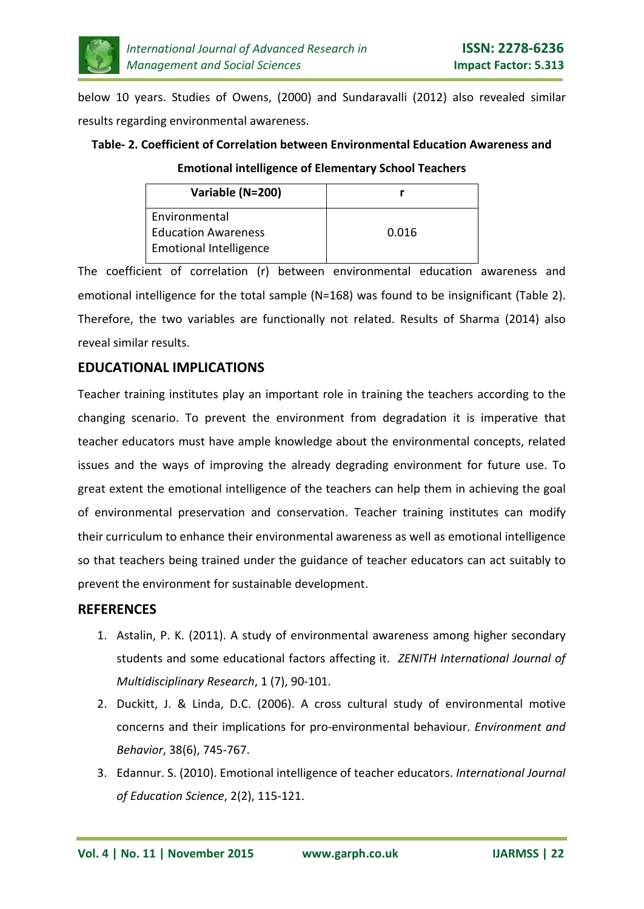

below 10 years. Studies of Owens, (2000) and Sundaravalli (2012) also revealed similar results regarding environmental awareness.

## **Table- 2. Coefficient of Correlation between Environmental Education Awareness and**

**Emotional intelligence of Elementary School Teachers**

| Variable (N=200)              |       |
|-------------------------------|-------|
| Environmental                 |       |
| <b>Education Awareness</b>    | 0.016 |
| <b>Emotional Intelligence</b> |       |

The coefficient of correlation (r) between environmental education awareness and emotional intelligence for the total sample (N=168) was found to be insignificant (Table 2). Therefore, the two variables are functionally not related. Results of Sharma (2014) also reveal similar results.

# **EDUCATIONAL IMPLICATIONS**

Teacher training institutes play an important role in training the teachers according to the changing scenario. To prevent the environment from degradation it is imperative that teacher educators must have ample knowledge about the environmental concepts, related issues and the ways of improving the already degrading environment for future use. To great extent the emotional intelligence of the teachers can help them in achieving the goal of environmental preservation and conservation. Teacher training institutes can modify their curriculum to enhance their environmental awareness as well as emotional intelligence so that teachers being trained under the guidance of teacher educators can act suitably to prevent the environment for sustainable development.

## **REFERENCES**

- 1. Astalin, P. K. (2011). A study of environmental awareness among higher secondary students and some educational factors affecting it. *ZENITH International Journal of Multidisciplinary Research*, 1 (7), 90-101.
- 2. Duckitt, J. & Linda, D.C. (2006). A cross cultural study of environmental motive concerns and their implications for pro-environmental behaviour. *Environment and Behavior*, 38(6), 745-767.
- 3. Edannur. S. (2010). Emotional intelligence of teacher educators. *International Journal of Education Science*, 2(2), 115-121.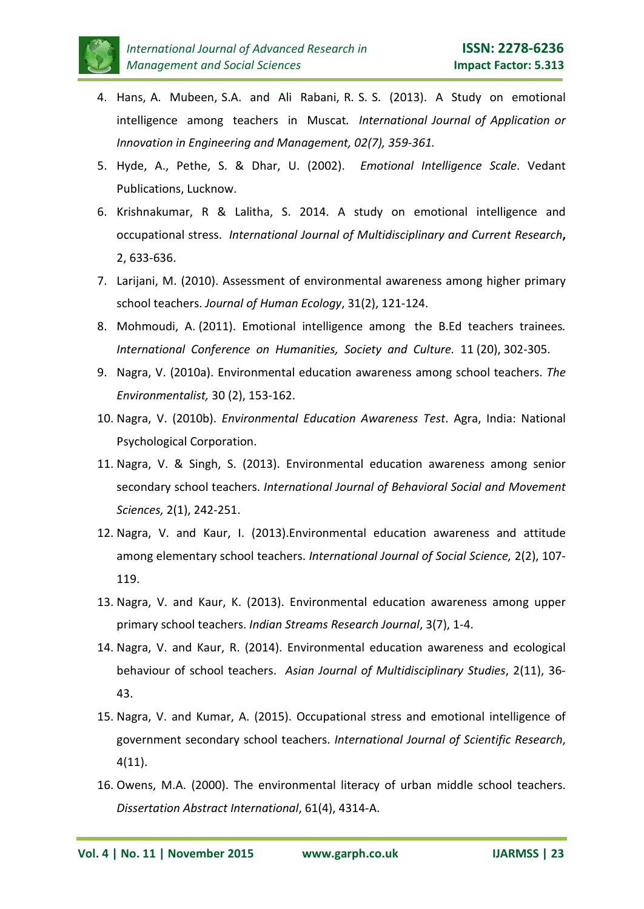

- 4. Hans, A. Mubeen, S.A. and Ali Rabani, R. S. S. (2013). A Study on emotional intelligence among teachers in Muscat*. International Journal of Application or Innovation in Engineering and Management, 02(7), 359-361.*
- 5. Hyde, A., Pethe, S. & Dhar, U. (2002). *Emotional Intelligence Scale*. Vedant Publications, Lucknow.
- 6. Krishnakumar, R & Lalitha, S. 2014. A study on emotional intelligence and occupational stress. *International Journal of Multidisciplinary and Current Research***,** 2, 633-636.
- 7. Larijani, M. (2010). Assessment of environmental awareness among higher primary school teachers. *Journal of Human Ecology*, 31(2), 121-124.
- 8. Mohmoudi, A. (2011). Emotional intelligence among the B.Ed teachers trainees*. International Conference on Humanities, Society and Culture.* 11 (20), 302-305.
- 9. Nagra, V. (2010a). Environmental education awareness among school teachers. *The Environmentalist,* 30 (2), 153-162.
- 10. Nagra, V. (2010b). *Environmental Education Awareness Test*. Agra, India: National Psychological Corporation.
- 11. Nagra, V. & Singh, S. (2013). Environmental education awareness among senior secondary school teachers. *International Journal of Behavioral Social and Movement Sciences,* 2(1), 242-251.
- 12. Nagra, V. and Kaur, I. (2013).Environmental education awareness and attitude among elementary school teachers. *International Journal of Social Science,* 2(2), 107- 119.
- 13. Nagra, V. and Kaur, K. (2013). Environmental education awareness among upper primary school teachers. *Indian Streams Research Journal*, 3(7), 1-4.
- 14. Nagra, V. and Kaur, R. (2014). Environmental education awareness and ecological behaviour of school teachers. *Asian Journal of Multidisciplinary Studies*, 2(11), 36- 43.
- 15. Nagra, V. and Kumar, A. (2015). Occupational stress and emotional intelligence of government secondary school teachers. *International Journal of Scientific Research*, 4(11).
- 16. Owens, M.A. (2000). The environmental literacy of urban middle school teachers. *Dissertation Abstract International*, 61(4), 4314-A.